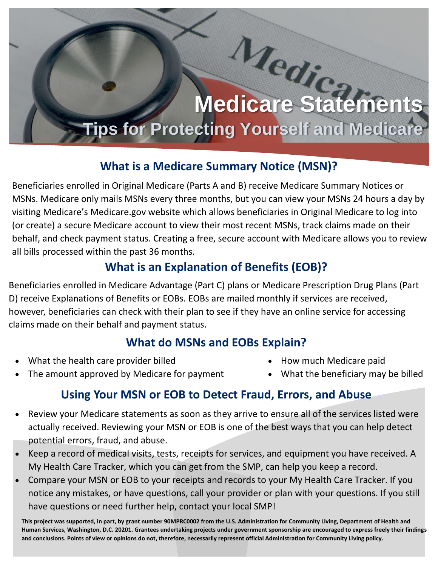# **Medicare Statements Tips for Protecting Yourself and Medicare**

#### **What is a Medicare Summary Notice (MSN)?**

Beneficiaries enrolled in Original Medicare (Parts A and B) receive Medicare Summary Notices or MSNs. Medicare only mails MSNs every three months, but you can view your MSNs 24 hours a day by visiting Medicare's Medicare.gov website which allows beneficiaries in Original Medicare to log into (or create) a secure Medicare account to view their most recent MSNs, track claims made on their behalf, and check payment status. Creating a free, secure account with Medicare allows you to review all bills processed within the past 36 months.

## **What is an Explanation of Benefits (EOB)?**

Beneficiaries enrolled in Medicare Advantage (Part C) plans or Medicare Prescription Drug Plans (Part D) receive Explanations of Benefits or EOBs. EOBs are mailed monthly if services are received, however, beneficiaries can check with their plan to see if they have an online service for accessing claims made on their behalf and payment status.

## **What do MSNs and EOBs Explain?**

• What the health care provider billed

- How much Medicare paid
- The amount approved by Medicare for payment
- What the beneficiary may be billed

## **Using Your MSN or EOB to Detect Fraud, Errors, and Abuse**

- Review your Medicare statements as soon as they arrive to ensure all of the services listed were actually received. Reviewing your MSN or EOB is one of the best ways that you can help detect potential errors, fraud, and abuse.
- Keep a record of medical visits, tests, receipts for services, and equipment you have received. A My Health Care Tracker, which you can get from the SMP, can help you keep a record.
- Compare your MSN or EOB to your receipts and records to your My Health Care Tracker. If you notice any mistakes, or have questions, call your provider or plan with your questions. If you still have questions or need further help, contact your local SMP!

**This project was supported, in part, by grant number 90MPRC0002 from the U.S. Administration for Community Living, Department of Health and Human Services, Washington, D.C. 20201. Grantees undertaking projects under government sponsorship are encouraged to express freely their findings and conclusions. Points of view or opinions do not, therefore, necessarily represent official Administration for Community Living policy.**